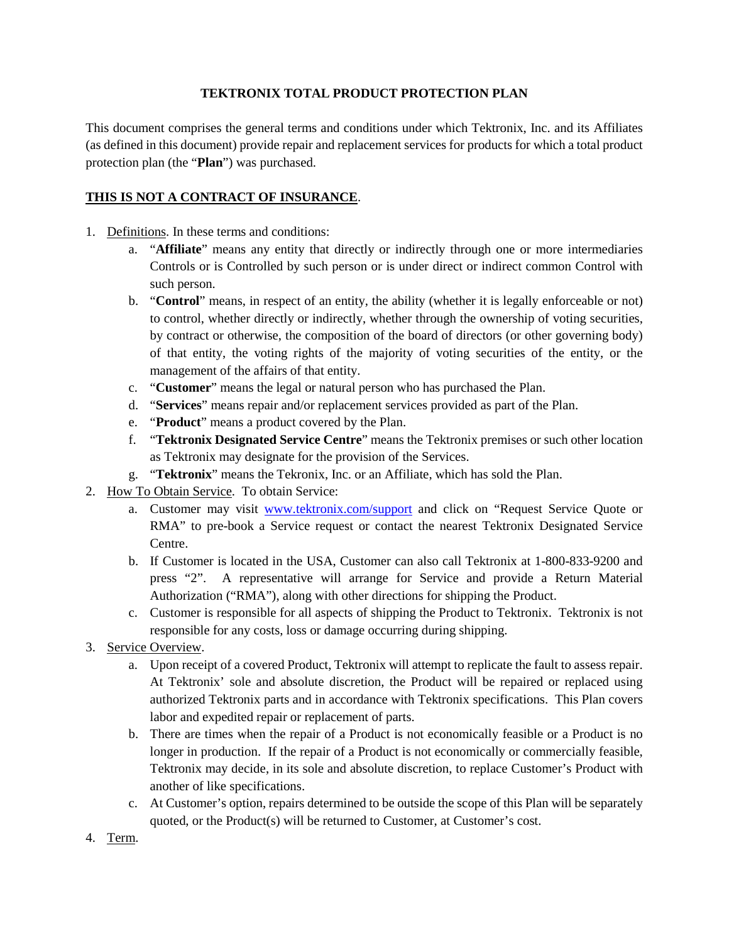## **TEKTRONIX TOTAL PRODUCT PROTECTION PLAN**

This document comprises the general terms and conditions under which Tektronix, Inc. and its Affiliates (as defined in this document) provide repair and replacement services for products for which a total product protection plan (the "**Plan**") was purchased.

## **THIS IS NOT A CONTRACT OF INSURANCE**.

- 1. Definitions. In these terms and conditions:
	- a. "**Affiliate**" means any entity that directly or indirectly through one or more intermediaries Controls or is Controlled by such person or is under direct or indirect common Control with such person.
	- b. "**Control**" means, in respect of an entity, the ability (whether it is legally enforceable or not) to control, whether directly or indirectly, whether through the ownership of voting securities, by contract or otherwise, the composition of the board of directors (or other governing body) of that entity, the voting rights of the majority of voting securities of the entity, or the management of the affairs of that entity.
	- c. "**Customer**" means the legal or natural person who has purchased the Plan.
	- d. "**Services**" means repair and/or replacement services provided as part of the Plan.
	- e. "**Product**" means a product covered by the Plan.
	- f. "**Tektronix Designated Service Centre**" means the Tektronix premises or such other location as Tektronix may designate for the provision of the Services.
	- g. "**Tektronix**" means the Tekronix, Inc. or an Affiliate, which has sold the Plan.
- 2. How To Obtain Service. To obtain Service:
	- a. Customer may visit [www.tektronix.com/support](http://www.tektronix.com/support) and click on "Request Service Quote or RMA" to pre-book a Service request or contact the nearest Tektronix Designated Service Centre.
	- b. If Customer is located in the USA, Customer can also call Tektronix at 1-800-833-9200 and press "2". A representative will arrange for Service and provide a Return Material Authorization ("RMA"), along with other directions for shipping the Product.
	- c. Customer is responsible for all aspects of shipping the Product to Tektronix. Tektronix is not responsible for any costs, loss or damage occurring during shipping.
- 3. Service Overview.
	- a. Upon receipt of a covered Product, Tektronix will attempt to replicate the fault to assess repair. At Tektronix' sole and absolute discretion, the Product will be repaired or replaced using authorized Tektronix parts and in accordance with Tektronix specifications. This Plan covers labor and expedited repair or replacement of parts.
	- b. There are times when the repair of a Product is not economically feasible or a Product is no longer in production. If the repair of a Product is not economically or commercially feasible, Tektronix may decide, in its sole and absolute discretion, to replace Customer's Product with another of like specifications.
	- c. At Customer's option, repairs determined to be outside the scope of this Plan will be separately quoted, or the Product(s) will be returned to Customer, at Customer's cost.
- 4. Term.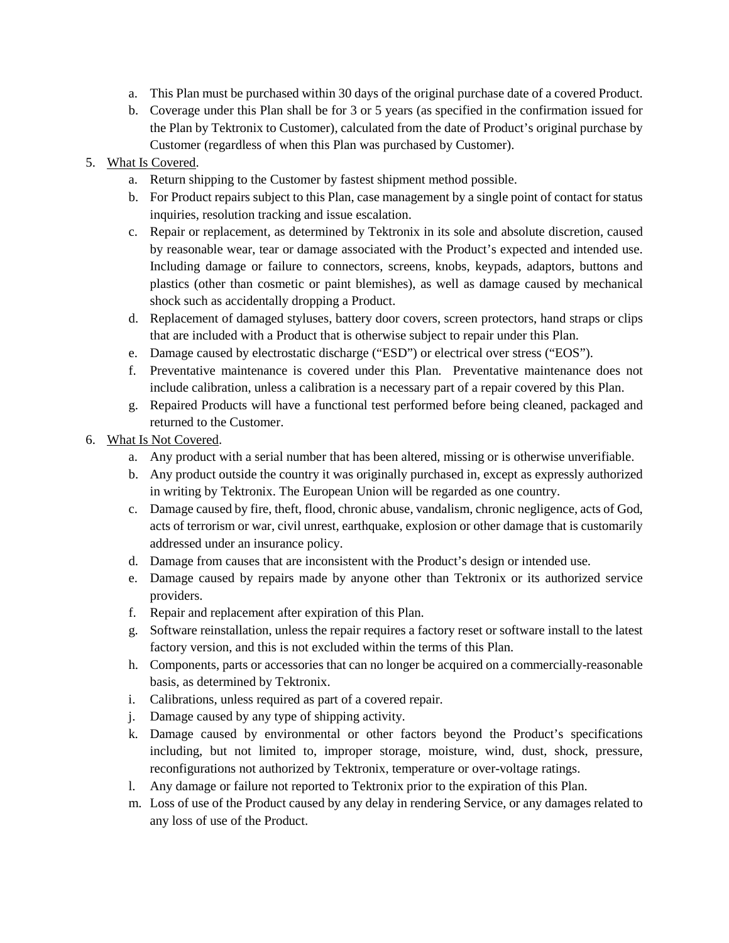- a. This Plan must be purchased within 30 days of the original purchase date of a covered Product.
- b. Coverage under this Plan shall be for 3 or 5 years (as specified in the confirmation issued for the Plan by Tektronix to Customer), calculated from the date of Product's original purchase by Customer (regardless of when this Plan was purchased by Customer).
- 5. What Is Covered.
	- a. Return shipping to the Customer by fastest shipment method possible.
	- b. For Product repairs subject to this Plan, case management by a single point of contact for status inquiries, resolution tracking and issue escalation.
	- c. Repair or replacement, as determined by Tektronix in its sole and absolute discretion, caused by reasonable wear, tear or damage associated with the Product's expected and intended use. Including damage or failure to connectors, screens, knobs, keypads, adaptors, buttons and plastics (other than cosmetic or paint blemishes), as well as damage caused by mechanical shock such as accidentally dropping a Product.
	- d. Replacement of damaged styluses, battery door covers, screen protectors, hand straps or clips that are included with a Product that is otherwise subject to repair under this Plan.
	- e. Damage caused by electrostatic discharge ("ESD") or electrical over stress ("EOS").
	- f. Preventative maintenance is covered under this Plan. Preventative maintenance does not include calibration, unless a calibration is a necessary part of a repair covered by this Plan.
	- g. Repaired Products will have a functional test performed before being cleaned, packaged and returned to the Customer.
- 6. What Is Not Covered.
	- a. Any product with a serial number that has been altered, missing or is otherwise unverifiable.
	- b. Any product outside the country it was originally purchased in, except as expressly authorized in writing by Tektronix. The European Union will be regarded as one country.
	- c. Damage caused by fire, theft, flood, chronic abuse, vandalism, chronic negligence, acts of God, acts of terrorism or war, civil unrest, earthquake, explosion or other damage that is customarily addressed under an insurance policy.
	- d. Damage from causes that are inconsistent with the Product's design or intended use.
	- e. Damage caused by repairs made by anyone other than Tektronix or its authorized service providers.
	- f. Repair and replacement after expiration of this Plan.
	- g. Software reinstallation, unless the repair requires a factory reset or software install to the latest factory version, and this is not excluded within the terms of this Plan.
	- h. Components, parts or accessories that can no longer be acquired on a commercially-reasonable basis, as determined by Tektronix.
	- i. Calibrations, unless required as part of a covered repair.
	- j. Damage caused by any type of shipping activity.
	- k. Damage caused by environmental or other factors beyond the Product's specifications including, but not limited to, improper storage, moisture, wind, dust, shock, pressure, reconfigurations not authorized by Tektronix, temperature or over-voltage ratings.
	- l. Any damage or failure not reported to Tektronix prior to the expiration of this Plan.
	- m. Loss of use of the Product caused by any delay in rendering Service, or any damages related to any loss of use of the Product.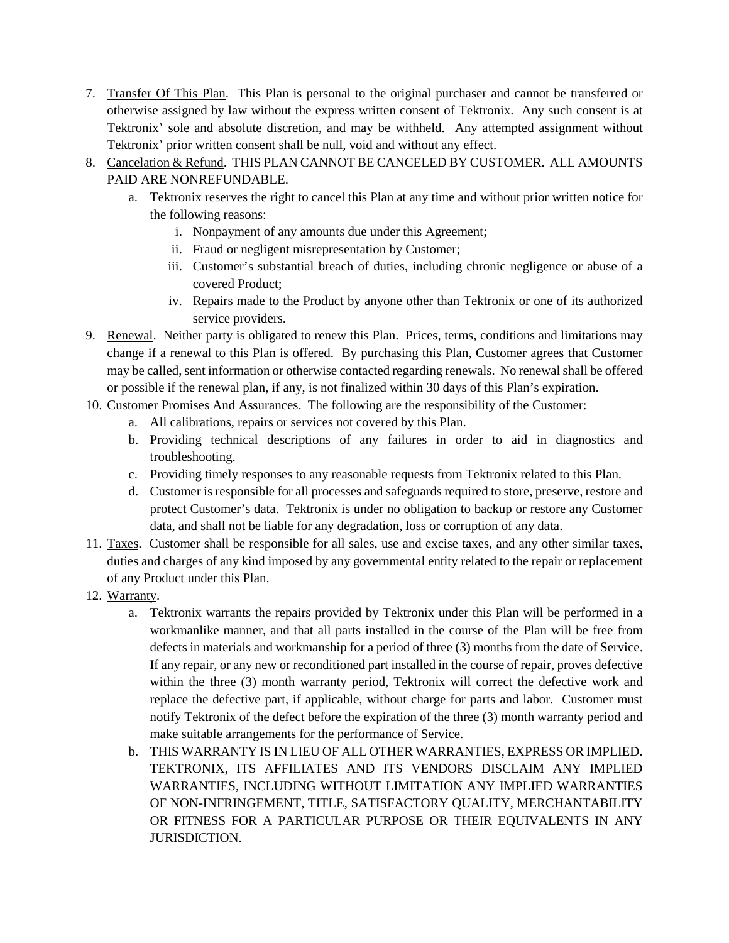- 7. Transfer Of This Plan. This Plan is personal to the original purchaser and cannot be transferred or otherwise assigned by law without the express written consent of Tektronix. Any such consent is at Tektronix' sole and absolute discretion, and may be withheld. Any attempted assignment without Tektronix' prior written consent shall be null, void and without any effect.
- 8. Cancelation & Refund. THIS PLAN CANNOT BE CANCELED BY CUSTOMER. ALL AMOUNTS PAID ARE NONREFUNDABLE.
	- a. Tektronix reserves the right to cancel this Plan at any time and without prior written notice for the following reasons:
		- i. Nonpayment of any amounts due under this Agreement;
		- ii. Fraud or negligent misrepresentation by Customer;
		- iii. Customer's substantial breach of duties, including chronic negligence or abuse of a covered Product;
		- iv. Repairs made to the Product by anyone other than Tektronix or one of its authorized service providers.
- 9. Renewal. Neither party is obligated to renew this Plan. Prices, terms, conditions and limitations may change if a renewal to this Plan is offered. By purchasing this Plan, Customer agrees that Customer may be called, sent information or otherwise contacted regarding renewals. No renewal shall be offered or possible if the renewal plan, if any, is not finalized within 30 days of this Plan's expiration.
- 10. Customer Promises And Assurances. The following are the responsibility of the Customer:
	- a. All calibrations, repairs or services not covered by this Plan.
	- b. Providing technical descriptions of any failures in order to aid in diagnostics and troubleshooting.
	- c. Providing timely responses to any reasonable requests from Tektronix related to this Plan.
	- d. Customer is responsible for all processes and safeguards required to store, preserve, restore and protect Customer's data. Tektronix is under no obligation to backup or restore any Customer data, and shall not be liable for any degradation, loss or corruption of any data.
- 11. Taxes. Customer shall be responsible for all sales, use and excise taxes, and any other similar taxes, duties and charges of any kind imposed by any governmental entity related to the repair or replacement of any Product under this Plan.
- 12. Warranty.
	- a. Tektronix warrants the repairs provided by Tektronix under this Plan will be performed in a workmanlike manner, and that all parts installed in the course of the Plan will be free from defects in materials and workmanship for a period of three (3) months from the date of Service. If any repair, or any new or reconditioned part installed in the course of repair, proves defective within the three (3) month warranty period, Tektronix will correct the defective work and replace the defective part, if applicable, without charge for parts and labor. Customer must notify Tektronix of the defect before the expiration of the three (3) month warranty period and make suitable arrangements for the performance of Service.
	- b. THIS WARRANTY IS IN LIEU OF ALL OTHER WARRANTIES, EXPRESS OR IMPLIED. TEKTRONIX, ITS AFFILIATES AND ITS VENDORS DISCLAIM ANY IMPLIED WARRANTIES, INCLUDING WITHOUT LIMITATION ANY IMPLIED WARRANTIES OF NON-INFRINGEMENT, TITLE, SATISFACTORY QUALITY, MERCHANTABILITY OR FITNESS FOR A PARTICULAR PURPOSE OR THEIR EQUIVALENTS IN ANY JURISDICTION.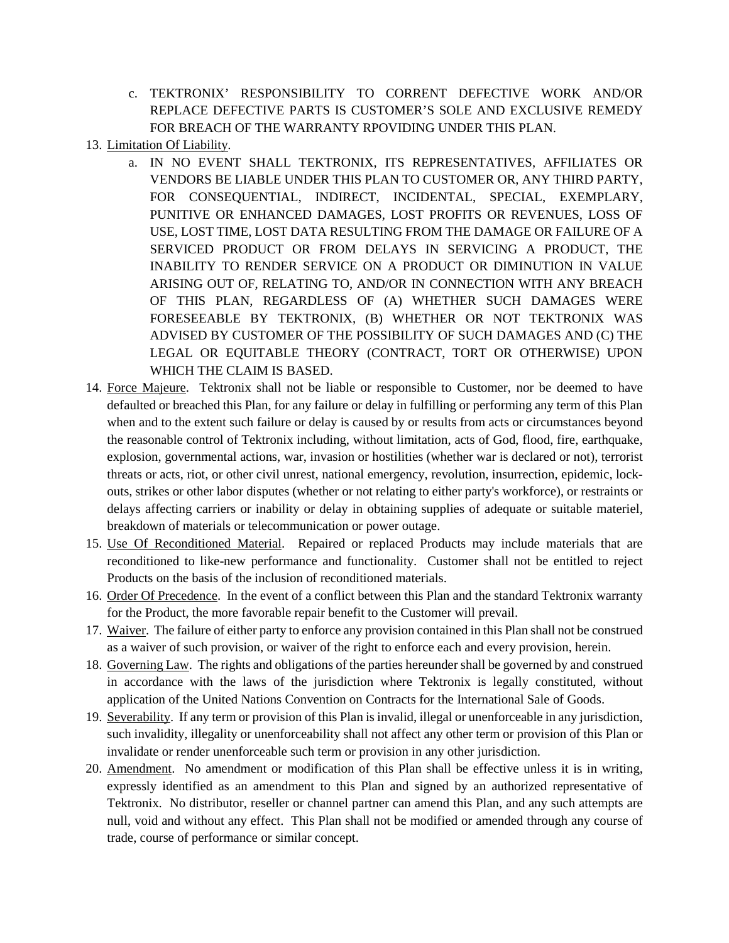- c. TEKTRONIX' RESPONSIBILITY TO CORRENT DEFECTIVE WORK AND/OR REPLACE DEFECTIVE PARTS IS CUSTOMER'S SOLE AND EXCLUSIVE REMEDY FOR BREACH OF THE WARRANTY RPOVIDING UNDER THIS PLAN.
- 13. Limitation Of Liability.
	- a. IN NO EVENT SHALL TEKTRONIX, ITS REPRESENTATIVES, AFFILIATES OR VENDORS BE LIABLE UNDER THIS PLAN TO CUSTOMER OR, ANY THIRD PARTY, FOR CONSEQUENTIAL, INDIRECT, INCIDENTAL, SPECIAL, EXEMPLARY, PUNITIVE OR ENHANCED DAMAGES, LOST PROFITS OR REVENUES, LOSS OF USE, LOST TIME, LOST DATA RESULTING FROM THE DAMAGE OR FAILURE OF A SERVICED PRODUCT OR FROM DELAYS IN SERVICING A PRODUCT, THE INABILITY TO RENDER SERVICE ON A PRODUCT OR DIMINUTION IN VALUE ARISING OUT OF, RELATING TO, AND/OR IN CONNECTION WITH ANY BREACH OF THIS PLAN, REGARDLESS OF (A) WHETHER SUCH DAMAGES WERE FORESEEABLE BY TEKTRONIX, (B) WHETHER OR NOT TEKTRONIX WAS ADVISED BY CUSTOMER OF THE POSSIBILITY OF SUCH DAMAGES AND (C) THE LEGAL OR EQUITABLE THEORY (CONTRACT, TORT OR OTHERWISE) UPON WHICH THE CLAIM IS BASED.
- 14. Force Majeure. Tektronix shall not be liable or responsible to Customer, nor be deemed to have defaulted or breached this Plan, for any failure or delay in fulfilling or performing any term of this Plan when and to the extent such failure or delay is caused by or results from acts or circumstances beyond the reasonable control of Tektronix including, without limitation, acts of God, flood, fire, earthquake, explosion, governmental actions, war, invasion or hostilities (whether war is declared or not), terrorist threats or acts, riot, or other civil unrest, national emergency, revolution, insurrection, epidemic, lockouts, strikes or other labor disputes (whether or not relating to either party's workforce), or restraints or delays affecting carriers or inability or delay in obtaining supplies of adequate or suitable materiel, breakdown of materials or telecommunication or power outage.
- 15. Use Of Reconditioned Material. Repaired or replaced Products may include materials that are reconditioned to like-new performance and functionality. Customer shall not be entitled to reject Products on the basis of the inclusion of reconditioned materials.
- 16. Order Of Precedence. In the event of a conflict between this Plan and the standard Tektronix warranty for the Product, the more favorable repair benefit to the Customer will prevail.
- 17. Waiver. The failure of either party to enforce any provision contained in this Plan shall not be construed as a waiver of such provision, or waiver of the right to enforce each and every provision, herein.
- 18. Governing Law. The rights and obligations of the parties hereunder shall be governed by and construed in accordance with the laws of the jurisdiction where Tektronix is legally constituted, without application of the United Nations Convention on Contracts for the International Sale of Goods.
- 19. Severability. If any term or provision of this Plan is invalid, illegal or unenforceable in any jurisdiction, such invalidity, illegality or unenforceability shall not affect any other term or provision of this Plan or invalidate or render unenforceable such term or provision in any other jurisdiction.
- 20. Amendment. No amendment or modification of this Plan shall be effective unless it is in writing, expressly identified as an amendment to this Plan and signed by an authorized representative of Tektronix. No distributor, reseller or channel partner can amend this Plan, and any such attempts are null, void and without any effect. This Plan shall not be modified or amended through any course of trade, course of performance or similar concept.